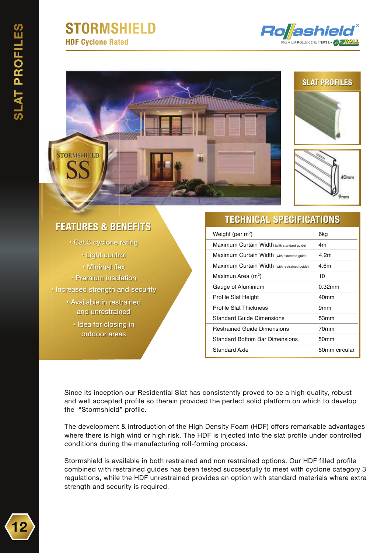## **STORMSHIELD HDF Cyclone Rated**









### **FEATURES & BENEFITS**

- Cat 3 cyclone rating
	- Light control
	- Minimal flex
- Premium insulation
- Increased strength and security
	- Available in restrained and unrestrained
		- · Idea for closing in outdoor areas

#### **TECHNICAL SPECIFICATIONS**

| Weight (per $m^2$ )                           | 6ka              |
|-----------------------------------------------|------------------|
| Maximum Curtain Width (with standard guide)   | 4m               |
| Maximum Curtain Width (with extended quide)   | 4.2m             |
| Maximum Curtain Width (with restrained guide) | 4.6m             |
| Maximun Area (m <sup>2</sup> )                | 10               |
| Gauge of Aluminium                            | $0.32$ mm        |
| Profile Slat Height                           | 40 <sub>mm</sub> |
| <b>Profile Slat Thickness</b>                 | 9 <sub>mm</sub>  |
| <b>Standard Guide Dimensions</b>              | 53mm             |
| <b>Restrained Guide Dimensions</b>            | 70mm             |
| <b>Standard Bottom Bar Dimensions</b>         | 50mm             |
| Standard Axle                                 | 50mm circular    |

Since its inception our Residential Slat has consistently proved to be a high quality, robust and well accepted profile so therein provided the perfect solid platform on which to develop the "Stormshield" profile.

The development & introduction of the High Density Foam (HDF) offers remarkable advantages where there is high wind or high risk. The HDF is injected into the slat profile under controlled conditions during the manufacturing roll-forming process.

Stormshield is available in both restrained and non restrained options. Our HDF filled profile combined with restrained guides has been tested successfully to meet with cyclone category 3 regulations, while the HDF unrestrained provides an option with standard materials where extra strength and security is required.